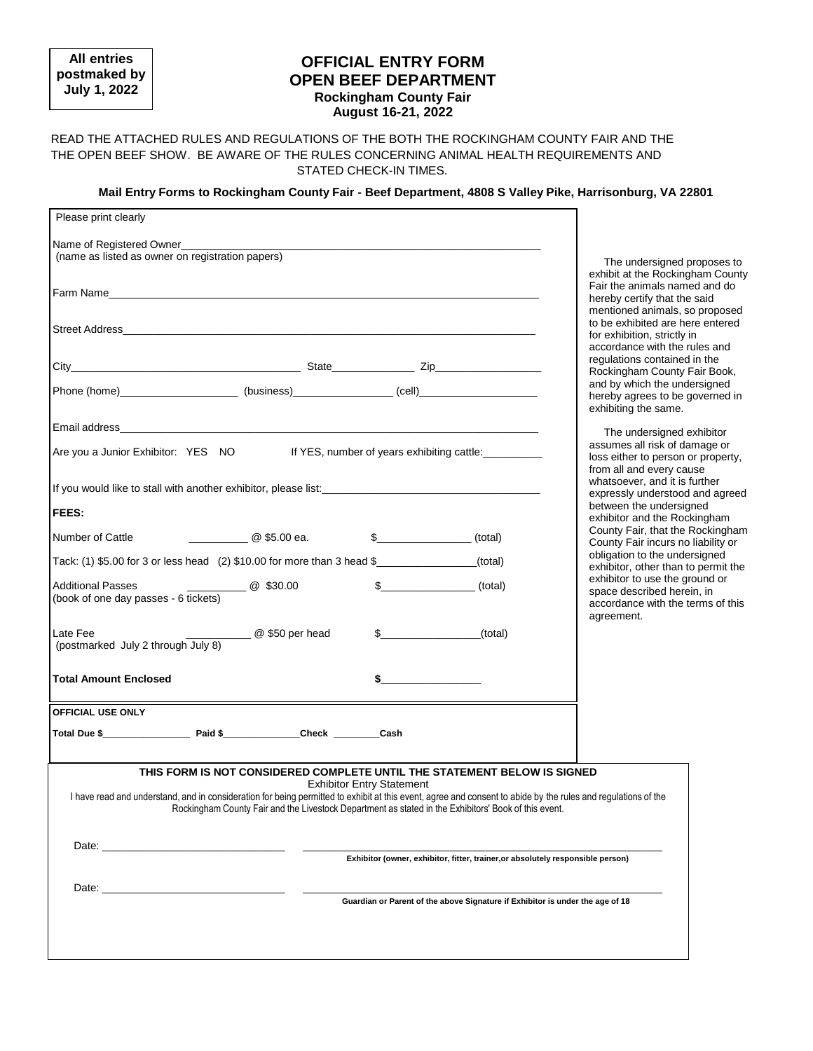**All entries postmaked by July 1, 2022**

## **OFFICIAL ENTRY FORM OPEN BEEF DEPARTMENT Rockingham County Fair August 16-21, 2022**

### READ THE ATTACHED RULES AND REGULATIONS OF THE BOTH THE ROCKINGHAM COUNTY FAIR AND THE THE OPEN BEEF SHOW. BE AWARE OF THE RULES CONCERNING ANIMAL HEALTH REQUIREMENTS AND STATED CHECK-IN TIMES.

### **Mail Entry Forms to Rockingham County Fair - Beef Department, 4808 S Valley Pike, Harrisonburg, VA 22801**

| Please print clearly                                                                                                                                                                                                           |                                                                                                                                                                                                                                                                       |                                  |                                                                                 |                                                                        |
|--------------------------------------------------------------------------------------------------------------------------------------------------------------------------------------------------------------------------------|-----------------------------------------------------------------------------------------------------------------------------------------------------------------------------------------------------------------------------------------------------------------------|----------------------------------|---------------------------------------------------------------------------------|------------------------------------------------------------------------|
|                                                                                                                                                                                                                                |                                                                                                                                                                                                                                                                       |                                  |                                                                                 |                                                                        |
| Name of Registered Owner<br>(name as listed as owner on registration papers)                                                                                                                                                   |                                                                                                                                                                                                                                                                       |                                  |                                                                                 | The undersigned proposes to                                            |
|                                                                                                                                                                                                                                |                                                                                                                                                                                                                                                                       |                                  |                                                                                 | exhibit at the Rockingham County<br>Fair the animals named and do      |
|                                                                                                                                                                                                                                |                                                                                                                                                                                                                                                                       |                                  |                                                                                 | hereby certify that the said                                           |
|                                                                                                                                                                                                                                |                                                                                                                                                                                                                                                                       |                                  |                                                                                 | mentioned animals, so proposed<br>to be exhibited are here entered     |
|                                                                                                                                                                                                                                |                                                                                                                                                                                                                                                                       |                                  |                                                                                 | for exhibition, strictly in<br>accordance with the rules and           |
|                                                                                                                                                                                                                                |                                                                                                                                                                                                                                                                       |                                  |                                                                                 | regulations contained in the                                           |
|                                                                                                                                                                                                                                |                                                                                                                                                                                                                                                                       |                                  |                                                                                 | Rockingham County Fair Book,<br>and by which the undersigned           |
| Phone (home)_________________________(business)____________________(cell)___________________________                                                                                                                           |                                                                                                                                                                                                                                                                       |                                  |                                                                                 | hereby agrees to be governed in<br>exhibiting the same.                |
|                                                                                                                                                                                                                                |                                                                                                                                                                                                                                                                       |                                  |                                                                                 | The undersigned exhibitor                                              |
| Are you a Junior Exhibitor: YES NO If YES, number of years exhibiting cattle: _______                                                                                                                                          |                                                                                                                                                                                                                                                                       |                                  |                                                                                 | assumes all risk of damage or                                          |
|                                                                                                                                                                                                                                |                                                                                                                                                                                                                                                                       |                                  |                                                                                 | loss either to person or property,<br>from all and every cause         |
| If you would like to stall with another exhibitor, please list:                                                                                                                                                                |                                                                                                                                                                                                                                                                       |                                  |                                                                                 | whatsoever, and it is further<br>expressly understood and agreed       |
| <b>FEES:</b>                                                                                                                                                                                                                   |                                                                                                                                                                                                                                                                       |                                  |                                                                                 | between the undersigned<br>exhibitor and the Rockingham                |
| Number of Cattle                                                                                                                                                                                                               | <b>C</b> \$5.00 ea. \$                                                                                                                                                                                                                                                |                                  |                                                                                 | County Fair, that the Rockingham<br>County Fair incurs no liability or |
| Tack: (1) \$5.00 for 3 or less head (2) \$10.00 for more than 3 head \$ ___________(total)                                                                                                                                     | obligation to the undersigned<br>exhibitor, other than to permit the                                                                                                                                                                                                  |                                  |                                                                                 |                                                                        |
| <b>Additional Passes</b>                                                                                                                                                                                                       | $\sim$ \$30.00                                                                                                                                                                                                                                                        |                                  | $\sqrt[3]{ }$ (total)                                                           | exhibitor to use the ground or<br>space described herein, in           |
| (book of one day passes - 6 tickets)                                                                                                                                                                                           |                                                                                                                                                                                                                                                                       |                                  |                                                                                 | accordance with the terms of this<br>agreement.                        |
| Late Fee                                                                                                                                                                                                                       | <b>@</b> \$50 per head                                                                                                                                                                                                                                                | $\sim$                           | (total)                                                                         |                                                                        |
| (postmarked July 2 through July 8)                                                                                                                                                                                             |                                                                                                                                                                                                                                                                       |                                  |                                                                                 |                                                                        |
| <b>Total Amount Enclosed</b>                                                                                                                                                                                                   |                                                                                                                                                                                                                                                                       | $\frac{1}{2}$                    |                                                                                 |                                                                        |
| <b>OFFICIAL USE ONLY</b>                                                                                                                                                                                                       |                                                                                                                                                                                                                                                                       |                                  |                                                                                 |                                                                        |
|                                                                                                                                                                                                                                |                                                                                                                                                                                                                                                                       |                                  |                                                                                 |                                                                        |
|                                                                                                                                                                                                                                | THIS FORM IS NOT CONSIDERED COMPLETE UNTIL THE STATEMENT BELOW IS SIGNED                                                                                                                                                                                              |                                  |                                                                                 |                                                                        |
|                                                                                                                                                                                                                                |                                                                                                                                                                                                                                                                       | <b>Exhibitor Entry Statement</b> |                                                                                 |                                                                        |
|                                                                                                                                                                                                                                | I have read and understand, and in consideration for being permitted to exhibit at this event, agree and consent to abide by the rules and regulations of the<br>Rockingham County Fair and the Livestock Department as stated in the Exhibitors' Book of this event. |                                  |                                                                                 |                                                                        |
|                                                                                                                                                                                                                                |                                                                                                                                                                                                                                                                       |                                  |                                                                                 |                                                                        |
| Date: the contract of the contract of the contract of the contract of the contract of the contract of the contract of the contract of the contract of the contract of the contract of the contract of the contract of the cont |                                                                                                                                                                                                                                                                       |                                  |                                                                                 |                                                                        |
|                                                                                                                                                                                                                                |                                                                                                                                                                                                                                                                       |                                  | Exhibitor (owner, exhibitor, fitter, trainer, or absolutely responsible person) |                                                                        |
| Date: <u>________________________________</u>                                                                                                                                                                                  |                                                                                                                                                                                                                                                                       |                                  |                                                                                 |                                                                        |
|                                                                                                                                                                                                                                |                                                                                                                                                                                                                                                                       |                                  | Guardian or Parent of the above Signature if Exhibitor is under the age of 18   |                                                                        |
|                                                                                                                                                                                                                                |                                                                                                                                                                                                                                                                       |                                  |                                                                                 |                                                                        |
|                                                                                                                                                                                                                                |                                                                                                                                                                                                                                                                       |                                  |                                                                                 |                                                                        |